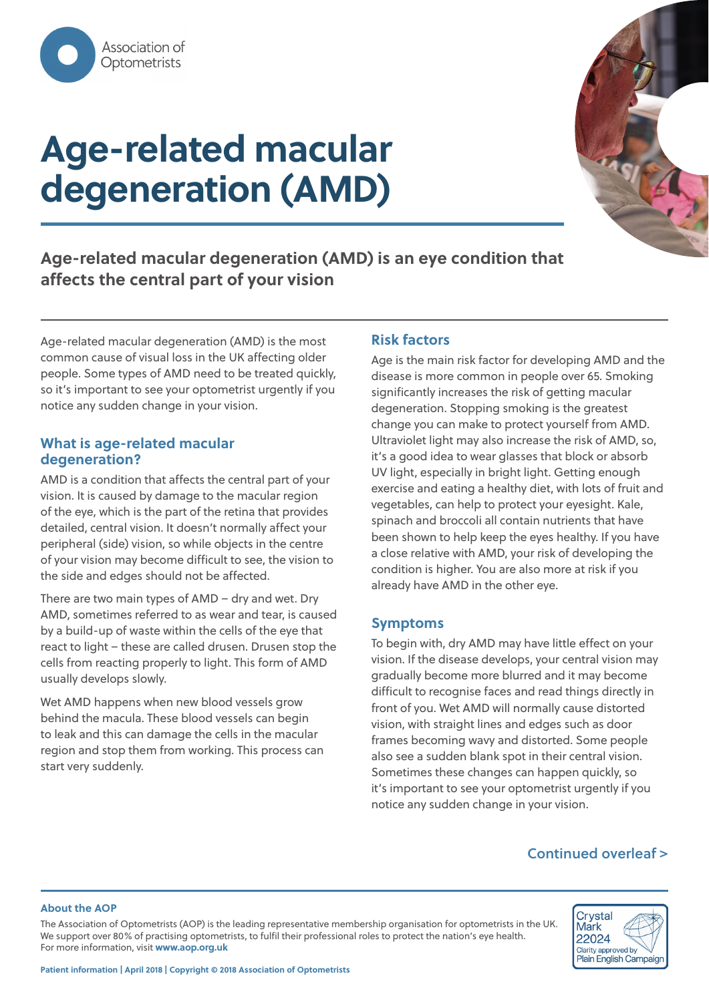

# **Age-related macular degeneration (AMD)**



**Age-related macular degeneration (AMD) is an eye condition that affects the central part of your vision** 

Age-related macular degeneration (AMD) is the most common cause of visual loss in the UK affecting older people. Some types of AMD need to be treated quickly, so it's important to see your optometrist urgently if you notice any sudden change in your vision.

### **What is age-related macular degeneration?**

AMD is a condition that affects the central part of your vision. It is caused by damage to the macular region of the eye, which is the part of the retina that provides detailed, central vision. It doesn't normally affect your peripheral (side) vision, so while objects in the centre of your vision may become difficult to see, the vision to the side and edges should not be affected.

There are two main types of AMD – dry and wet. Dry AMD, sometimes referred to as wear and tear, is caused by a build-up of waste within the cells of the eye that react to light – these are called drusen. Drusen stop the cells from reacting properly to light. This form of AMD usually develops slowly.

Wet AMD happens when new blood vessels grow behind the macula. These blood vessels can begin to leak and this can damage the cells in the macular region and stop them from working. This process can start very suddenly.

## **Risk factors**

Age is the main risk factor for developing AMD and the disease is more common in people over 65. Smoking significantly increases the risk of getting macular degeneration. Stopping smoking is the greatest change you can make to protect yourself from AMD. Ultraviolet light may also increase the risk of AMD, so, it's a good idea to wear glasses that block or absorb UV light, especially in bright light. Getting enough exercise and eating a healthy diet, with lots of fruit and vegetables, can help to protect your eyesight. Kale, spinach and broccoli all contain nutrients that have been shown to help keep the eyes healthy. If you have a close relative with AMD, your risk of developing the condition is higher. You are also more at risk if you already have AMD in the other eye.

### **Symptoms**

To begin with, dry AMD may have little effect on your vision. If the disease develops, your central vision may gradually become more blurred and it may become difficult to recognise faces and read things directly in front of you. Wet AMD will normally cause distorted vision, with straight lines and edges such as door frames becoming wavy and distorted. Some people also see a sudden blank spot in their central vision. Sometimes these changes can happen quickly, so it's important to see your optometrist urgently if you notice any sudden change in your vision.

## **Continued overleaf >**

#### **About the AOP**

The Association of Optometrists (AOP) is the leading representative membership organisation for optometrists in the UK. We support over 80% of practising optometrists, to fulfil their professional roles to protect the nation's eye health. For more information, visit **www.aop.org.uk**